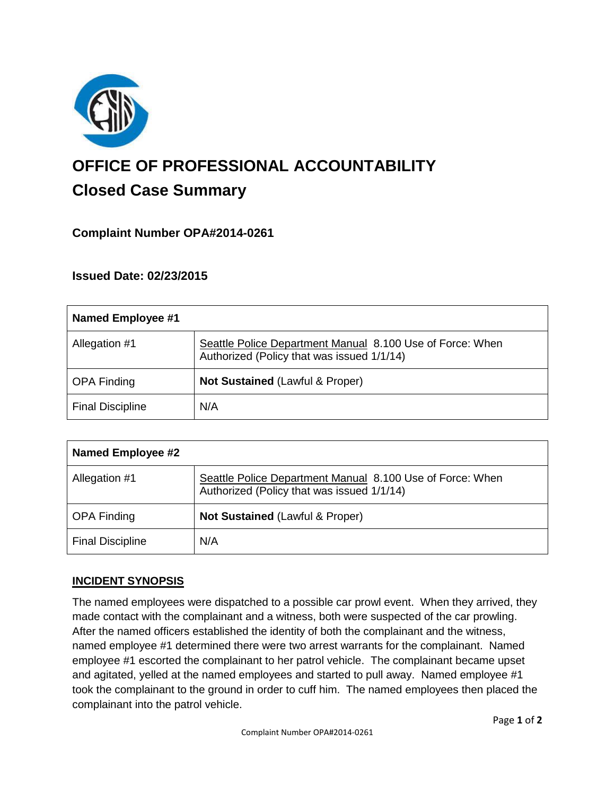

# **OFFICE OF PROFESSIONAL ACCOUNTABILITY Closed Case Summary**

# **Complaint Number OPA#2014-0261**

# **Issued Date: 02/23/2015**

| <b>Named Employee #1</b> |                                                                                                         |
|--------------------------|---------------------------------------------------------------------------------------------------------|
| Allegation #1            | Seattle Police Department Manual 8.100 Use of Force: When<br>Authorized (Policy that was issued 1/1/14) |
| <b>OPA Finding</b>       | Not Sustained (Lawful & Proper)                                                                         |
| <b>Final Discipline</b>  | N/A                                                                                                     |

| <b>Named Employee #2</b> |                                                                                                         |
|--------------------------|---------------------------------------------------------------------------------------------------------|
| Allegation #1            | Seattle Police Department Manual 8.100 Use of Force: When<br>Authorized (Policy that was issued 1/1/14) |
| <b>OPA Finding</b>       | <b>Not Sustained (Lawful &amp; Proper)</b>                                                              |
| <b>Final Discipline</b>  | N/A                                                                                                     |

# **INCIDENT SYNOPSIS**

The named employees were dispatched to a possible car prowl event. When they arrived, they made contact with the complainant and a witness, both were suspected of the car prowling. After the named officers established the identity of both the complainant and the witness, named employee #1 determined there were two arrest warrants for the complainant. Named employee #1 escorted the complainant to her patrol vehicle. The complainant became upset and agitated, yelled at the named employees and started to pull away. Named employee #1 took the complainant to the ground in order to cuff him. The named employees then placed the complainant into the patrol vehicle.